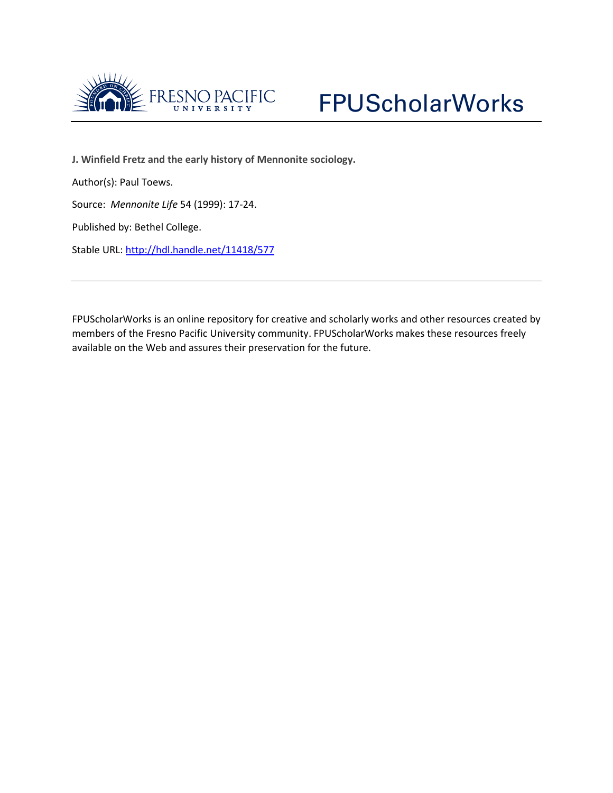



**J. Winfield Fretz and the early history of Mennonite sociology.**

Author(s): Paul Toews.

Source: *Mennonite Life* 54 (1999): 17-24.

Published by: Bethel College.

Stable URL:<http://hdl.handle.net/11418/577>

FPUScholarWorks is an online repository for creative and scholarly works and other resources created by members of the Fresno Pacific University community. FPUScholarWorks makes these resources freely available on the Web and assures their preservation for the future.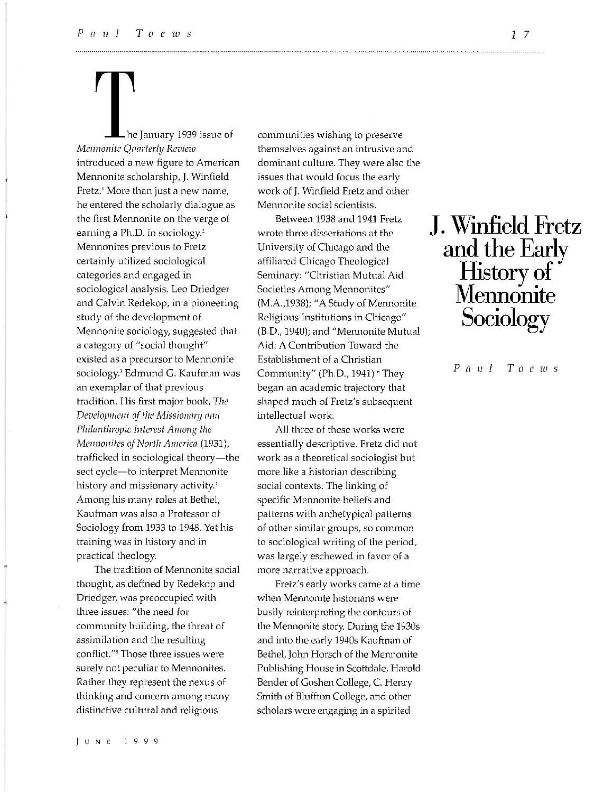■\*

4

he January 1939 issue of *Mennonite Quarterly Review* introduced a new figure to American Mennonite scholarship, J. Winfield Fretz.<sup>1</sup> More than just a new name, he entered the scholarly dialogue as the first Mennonite on the verge of earning a Ph.D. in sociology.<sup>2</sup> Mennonites previous to Fretz certainly utilized sociological categories and engaged in sociological analysis. Leo Driedger and Calvin Redekop, in a pioneering study of the development of Mennonite sociology, suggested that a category of "social thought" existed as a precursor to Mennonite sociology.<sup>3</sup> Edmund G. Kaufman was an exemplar of that previous tradition. His first major book, *The Development of the Missionary and Philanthropic Interest Among the Mennonites of North America* (1931), trafficked in sociological theory—the sect cycle—to interpret Mennonite history and missionary activity.<sup>4</sup> Among his many roles at Bethel, Kaufman was also a Professor of Sociology from 1933 to 1948. Yet his training was in history and in practical theology.

The tradition of Mennonite social thought, as defined by Redekop and Driedger, was preoccupied with three issues: "the need for community building, the threat of assimilation and the resulting conflict."5 Those three issues were surely not peculiar to Mennonites. Rather they represent the nexus of thinking and concern among many distinctive cultural and religious

communities wishing to preserve themselves against an intrusive and dominant culture. They were also the issues that would focus the early work of J. Winfield Fretz and other Mennonite social scientists.

Between 1938 and 1941 Fretz wrote three dissertations at the University of Chicago and the affiliated Chicago Theological Seminary: "Christian Mutual Aid Societies Among Mennonites" (M.A.,1938); "A Study of Mennonite Religious Institutions in Chicago" (B.D., 1940); and "Mennonite Mutual Aid: A Contribution Toward the Establishment of a Christian Community" (Ph.D., 1941).<sup>6</sup> They began an academic trajectory that shaped much of Fretz's subsequent intellectual work.

All three of these works were essentially descriptive. Fretz did not work as a theoretical sociologist but more like a historian describing social contexts. The linking of specific Mennonite beliefs and patterns with archetypical patterns of other similar groups, so common to sociological writing of the period, was largely eschewed in favor of a more narrative approach.

Fretz's early works came at a time when Mennonite historians were busily reinterpreting the contours of the Mennonite story. During the 1930s and into the early 1940s Kaufman of Bethel, John Horsch of the Mennonite Publishing House in Scottdale, Flarold Bender of Goshen College, C. Henry Smith of Bluffton College, and other scholars were engaging in a spirited

# J. Winfield Fretz and the Early History of Mennonite Sociology

*P a u l T o e zu s*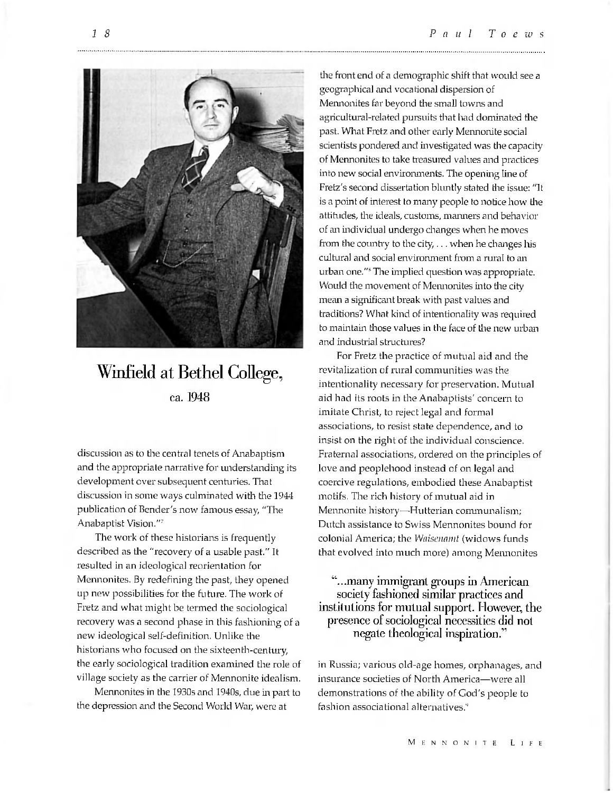

### Winfield at Bethel College, ca. 1948

discussion as to the central tenets of Anabaptism and the appropriate narrative for understanding its development over subsequent centuries. That discussion in some ways culminated with the 1944 publication of Bender's now famous essay, "The Anabaptist Vision."7

The work of these historians is frequently described as the "recovery of a usable past." It resulted in an ideological reorientation for Mennonites. By redefining the past, they opened up new possibilities for the future. The work of Fretz and what might be termed the sociological recovery was a second phase in this fashioning of a new ideological self-definition. Unlike the historians who focused on the sixteenth-century, the early sociological tradition examined the role of village society as the carrier of Mennonite idealism.

Mennonites in the 1930s and 1940s, due in part to the depression and the Second World War, were at

the front end of a demographic shift that would see a geographical and vocational dispersion of Mennonites far beyond the small towns and agricultural-related pursuits that had dominated the past. What Fretz and other early Mennonite social scientists pondered and investigated was the capacity of Mennonites to take treasured values and practices into new social environments. The opening line of Fretz's second dissertation bluntly stated the issue: "It is a point of interest to many people to notice how the attitudes, the ideals, customs, manners and behavior of an individual undergo changes when he moves from the country to the city,  $\dots$  when he changes his cultural and social environment from a rural to an urban one."<sup>8</sup> The implied question was appropriate. Would the movement of Mennonites into the city mean a significant break with past values and traditions? What kind of intentionality was required to maintain those values in the face of the new urban and industrial structures?

For Fretz the practice of mutual aid and the revitalization of rural communities was the intentionality necessary for preservation. Mutual aid had its roots in the Anabaptists' concern to imitate Christ, to reject legal and formal associations, to resist state dependence, and to insist on the right of the individual conscience. Fraternal associations, ordered on the principles of love and peoplehood instead of on legal and coercive regulations, embodied these Anabaptist motifs. The rich history of mutual aid in Mennonite history—Hutterian communalism; Dutch assistance to Swiss Mennonites bound for colonial America; the *Wnisennmt* (widows funds that evolved into much more) among Mennonites

#### "...many immigrant groups in American society fashioned similar practices and institutions for mutual support. However, the presence of sociological necessities did not negate theological inspiration."

in Russia; various old-age homes, orphanages, and insurance societies of North America—were all demonstrations of the ability of God's people to fashion associational alternatives.<sup>9</sup>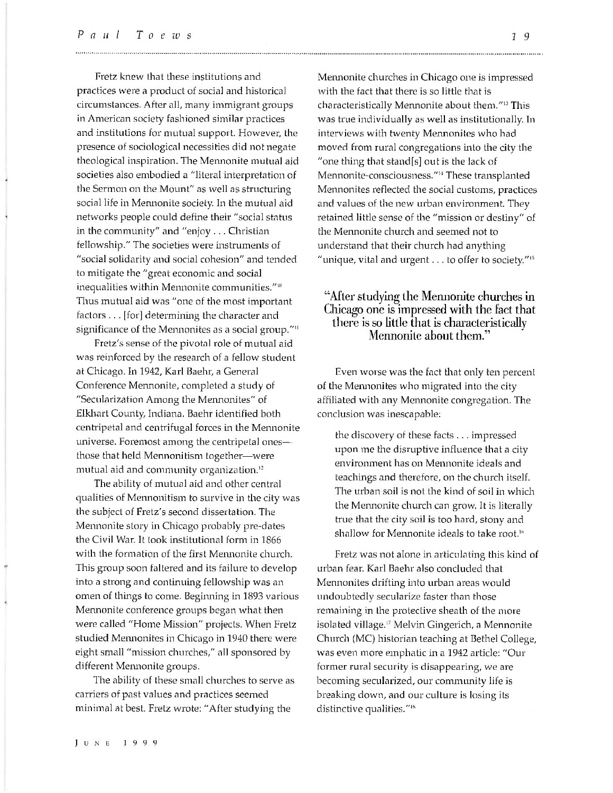Fretz knew that these institutions and practices were a product of social and historical circumstances. After all, many immigrant groups in American society fashioned similar practices and institutions for mutual support. However, the presence of sociological necessities did not negate theological inspiration. The Mennonite mutual aid societies also embodied a "literal interpretation of the Sermon on the Mount" as well as structuring social life in Mennonite society. In the mutual aid networks people could define their "social status in the community" and "enjoy . .. Christian fellowship." The societies were instruments of "social solidarity and social cohesion" and tended to mitigate the "great economic and social inequalities within Mennonite communities."<sup>10</sup> Thus mutual aid was "one of the most important factors . .. [for] determining the character and significance of the Mennonites as a social group."<sup>11</sup>

Fretz's sense of the pivotal role of mutual aid was reinforced by the research of a fellow student at Chicago. In 1942, Karl Baehr, a General Conference Mennonite, completed a study of "Secularization Among the Mennonites" of Elkhart County, Indiana. Baehr identified both centripetal and centrifugal forces in the Mennonite universe. Foremost among the centripetal ones those that held Mennonitism together—were mutual aid and community organization.<sup>12</sup>

The ability of mutual aid and other central qualities of Mennonitism to survive in the city was the subject of Fretz's second dissertation. The Mennonite story in Chicago probably pre-dates the Civil War. It took institutional form in 1866 with the formation of the first Mennonite church. This group soon faltered and its failure to develop into a strong and continuing fellowship was an omen of things to come. Beginning in 1893 various Mennonite conference groups began what then were called "Home Mission" projects. When Fretz studied Mennonites in Chicago in 1940 there were eight small "mission churches," all sponsored by different Mennonite groups.

The ability of these small churches to serve as carriers of past values and practices seemed minimal at best. Fretz wrote: "After studying the

Mennonite churches in Chicago one is impressed with the fact that there is so little that is characteristically Mennonite about them."13 This was true individually as well as institutionally. In interviews with twenty Mennonites who had moved from rural congregations into the city the "one thing that stand[s] out is the lack of Mennonite-consciousness."14 These transplanted Mennonites reflected the social customs, practices and values of the new urban environment. They retained little sense of the "mission or destiny" of the Mennonite church and seemed not to understand that their church had anything "unique, vital and urgent... to offer to society."15

#### "After studying the Mennonite churches in Chicago one is impressed with the fact that there is so little that is characteristically Mennonite about them."

Even worse was the fact that only ten percent of the Mennonites who migrated into the city affiliated with any Mennonite congregation. The conclusion was inescapable:

the discovery of these facts . .. impressed upon me the disruptive influence that a city environment has on Mennonite ideals and teachings and therefore, on the church itself. The urban soil is not the kind of soil in which the Mennonite church can grow. It is literally true that the city soil is too hard, stony and shallow for Mennonite ideals to take root.<sup>16</sup>

Fretz was not alone in articulating this kind of urban fear. Karl Baehr also concluded that Mennonites drifting into urban areas would undoubtedly secularize faster than those remaining in the protective sheath of the more isolated village.17 Melvin Gingerich, a Mennonite Church (MC) historian teaching at Bethel College, was even more emphatic in a 1942 article: "Our former rural security is disappearing, we are becoming secularized, our community life is breaking down, and our culture is losing its distinctive qualities."18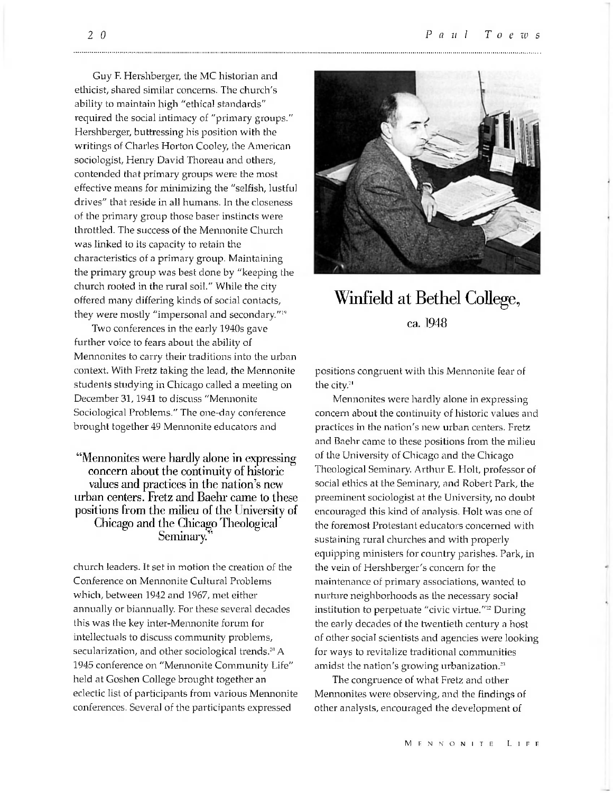Guy F. Hershberger, the MC historian and ethicist, shared similar concerns. The church's ability to maintain high "ethical standards" required the social intimacy of "primary groups." Hershberger, buttressing his position with the writings of Charles Horton Cooley, the American sociologist, Henry David Thoreau and others, contended that primary groups were the most effective means for minimizing the "selfish, lustful drives" that reside in all humans. In the closeness of the primary group those baser instincts were throttled. The success of the Mennonite Church was linked to its capacity to retain the characteristics of a primary group. Maintaining the primary group was best done by "keeping the church rooted in the rural soil." While the city offered many differing kinds of social contacts, they were mostly "impersonal and secondary."<sup>19</sup>

Two conferences in the early 1940s gave further voice to fears about the ability of Mennonites to carry their traditions into the urban context. With Fretz taking the lead, the Mennonite students studying in Chicago called a meeting on December 31,1941 to discuss "Mennonite Sociological Problems." The one-day conference brought together 49 Mennonite educators and

"Mennonites were hardly alone in expressing concern about the continuity of historic values and practices in the nation's new urban centers. Fretz and Baehr came to these positions from the milieu of the University of Chicago and the Chicago Theological Seminary.''

church leaders. It set in motion the creation of the Conference on Mennonite Cultural Problems which, between 1942 and 1967, met either annually or biannually. For these several decades this was the key inter-Mennonite forum for intellectuals to discuss community problems, secularization, and other sociological trends.<sup>20</sup> A 1945 conference on "Mennonite Community Life" held at Goshen College brought together an eclectic list of participants from various Mennonite conferences. Several of the participants expressed



### Winfield at Bethel College, ca. 1948

positions congruent with this Mennonite fear of the city.<sup>21</sup>

Mennonites were hardly alone in expressing concern about the continuity of historic values and practices in the nation's new urban centers. Fretz and Baehr came to these positions from the milieu of the University of Chicago and the Chicago Theological Seminary. Arthur E. Holt, professor of social ethics at the Seminary, and Robert Park, the preeminent sociologist at the University, no doubt encouraged this kind of analysis. Holt was one of the foremost Protestant educators concerned with sustaining rural churches and with properly equipping ministers for country parishes. Park, in the vein of Hershberger's concern for the maintenance of primary associations, wanted to nurture neighborhoods as the necessary social institution to perpetuate "civic virtue."<sup>22</sup> During the early decades of the twentieth century a host of other social scientists and agencies were looking for ways to revitalize traditional communities amidst the nation's growing urbanization.<sup>23</sup>

The congruence of what Fretz and other Mennonites were observing, and the findings of other analysts, encouraged the development of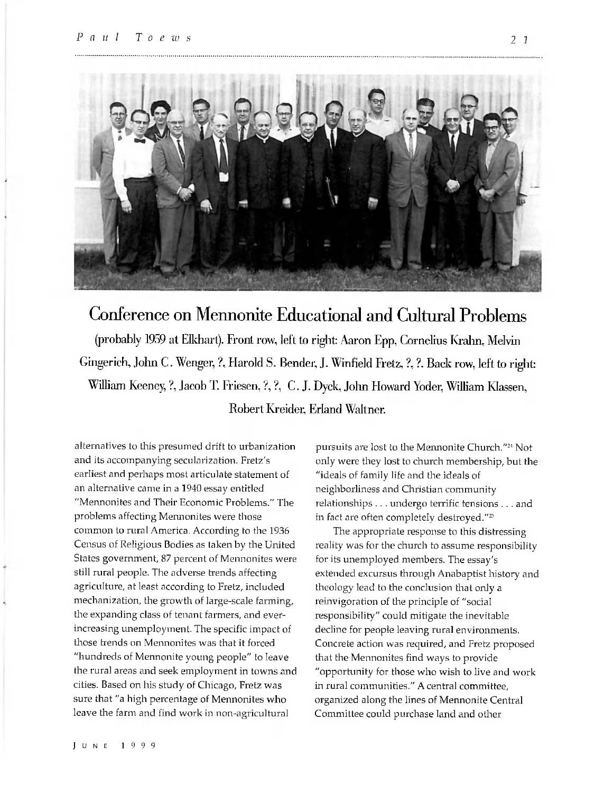

## Conference on Mennonite Educational and Cultural Problems (probably 1959 at Elkhart). Front row, left to right: Aaron Epp, Cornelius Krahn, Melvin Gingerich, John C. Wenger, ?, Harold S. Bender, J. Winfield Fretz, ?, ?. Back row, left to right William Keeney, ?, Jacob T. Friesen, ?, ?, C. J. Dyck, John Howard Yoder, William Klassen, Robert Kreider, Erfand Waltner.

alternatives to this presumed drift to urbanization and its accompanying secularization. Fretz's earliest and perhaps most articulate statement of an alternative came in a 1940 essay entitled "Mennonites and Their Economic Problems." The problems affecting Mennonites were those common to rural America. According to the 1936 Census of Religious Bodies as taken by the United States government, 87 percent of Mennonites were still rural people. The adverse trends affecting agriculture, at least according to Fretz, included mechanization, the growth of large-scale farming, the expanding class of tenant farmers, and everincreasing unemployment. The specific impact of those trends on Mennonites was that it forced "hundreds of Mennonite young people" to leave the rural areas and seek employment in towns and cities. Based on his study of Chicago, Fretz was sure that "a high percentage of Mennonites who leave the farm and find work in non-agricultural

pursuits are lost to the Mennonite Church."24 Not only were they lost to church membership, but the "ideals of family life and the ideals of neighborliness and Christian community relationships . .. undergo terrific tensions ... and in fact are often completely destroyed."<sup>25</sup>

The appropriate response to this distressing reality was for the church to assume responsibility for its unemployed members. The essay's extended excursus through Anabaptist history and theology lead to the conclusion that only a reinvigoration of the principle of "social responsibility" could mitigate the inevitable decline for people leaving rural environments. Concrete action was required, and Fretz proposed that the Mennonites find ways to provide "opportunity for those who wish to live and work in rural communities." A central committee, organized along the lines of Mennonite Central Committee could purchase land and other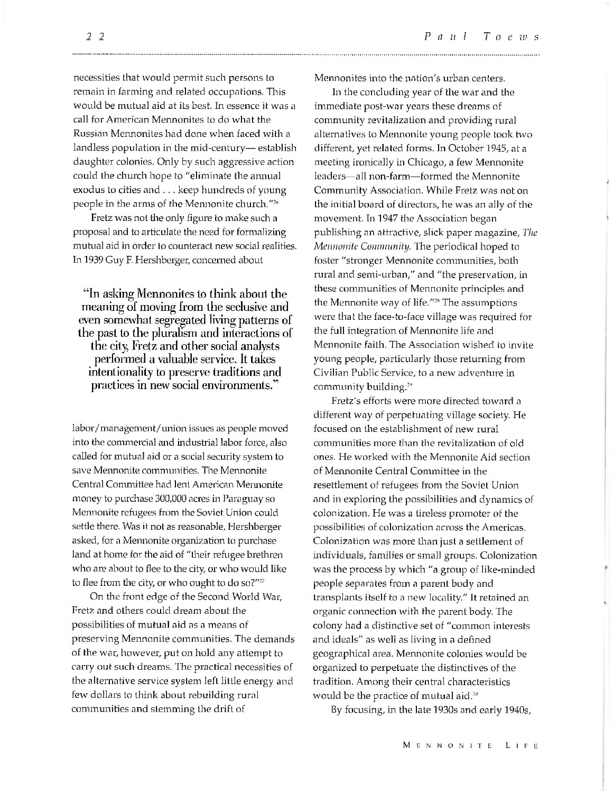necessities that would permit such persons to remain in farming and related occupations. This would be mutual aid at its best. In essence it was a call for American Mennonites to do what the Russian Mennonites had done when faced with a landless population in the mid-century— establish daughter colonies. Only by such aggressive action could the church hope to "eliminate the annual exodus to cities and . .. keep hundreds of young people in the arms of the Mennonite church."2n

Fretz was not the only figure to make such a proposal and to articulate the need for formalizing mutual aid in order to counteract new social realities. In 1939 Guy F. Hershberger, concerned about

"In asking Mennonites to think about the meaning of moving from the seclusive and even somewhat segregated living patterns of the past to the pluralism and interactions of the city, Fretz and other social analysts performed a valuable service. It takes intentionality to preserve traditions and practices in new social environments."

labor/management/union issues as people moved into tine commercial and industrial labor force, also called for mutual aid or a social security system to save Mennonite communities. The Mennonite Central Committee had lent American Mennonite money to purchase 300,000 acres in Paraguay so Mennonite refugees from the Soviet Union could settle there. Was it not as reasonable, Hershberger asked, for a Mennonite organization to purchase land at home for the aid of "their refugee brethren who are about to flee to the city, or who would like to flee from the city, or who ought to do so?" $\overline{z}$ 

On the front edge of the Second World War, Fretz and others could dream about the possibilities of mutual aid as a means of preserving Mennonite communities. The demands of the war, however, put on hold any attempt to carry out such dreams. The practical necessities of the alternative service system left little energy and few dollars to think about rebuilding rural communities and stemming the drift of

Mennonites into the nation's urban centers.

In the concluding year of the war and the immediate post-war years these dreams of community revitalization and providing rural alternatives to Mennonite young people took two different, yet related forms. In October 1945, at a meeting ironically in Chicago, a few Mennonite leaders—all non-farm—formed the Mennonite Community Association. While Fretz was not on the initial board of directors, he was an ally of the movement. In 1947 the Association began publishing an attractive, slick paper magazine. *The Mennonite Community.* The periodical hoped to foster "stronger Mennonite communities, both rural and semi-urban," and "the preservation, in these communities of Mennonite principles and the Mennonite way of life."28 The assumptions were that the face-to-face village was required for the full integration of Mennonite life and Mennonite faith. The Association wished to invite young people, particularly those returning from Civilian Public Service, to a new adventure in community building.<sup>29</sup>

Fretz's efforts were more directed toward a different way of perpetuating village society. He focused on the establishment of new rural communities more than the revitalization of old ones. He worked with the Mennonite Aid section of Mennonite Central Committee in the resettlement of refugees from the Soviet Union and in exploring the possibilities and dynamics of colonization. He was a tireless promoter of the possibilities of colonization across the Americas. Colonization was more than just a settlement of individuals, families or small groups. Colonization was the process by which "a group of like-minded people separates from a parent body and transplants itself to a new locality." It retained an organic connection with the parent body. The colony had a distinctive set of "common interests and ideals" as well as living in a defined geographical area. Mennonite colonies would be organized to perpetuate the distinctives of the tradition. Among their central characteristics would be the practice of mutual aid. $30$ 

By focusing, in the late 1930s and early 1940s,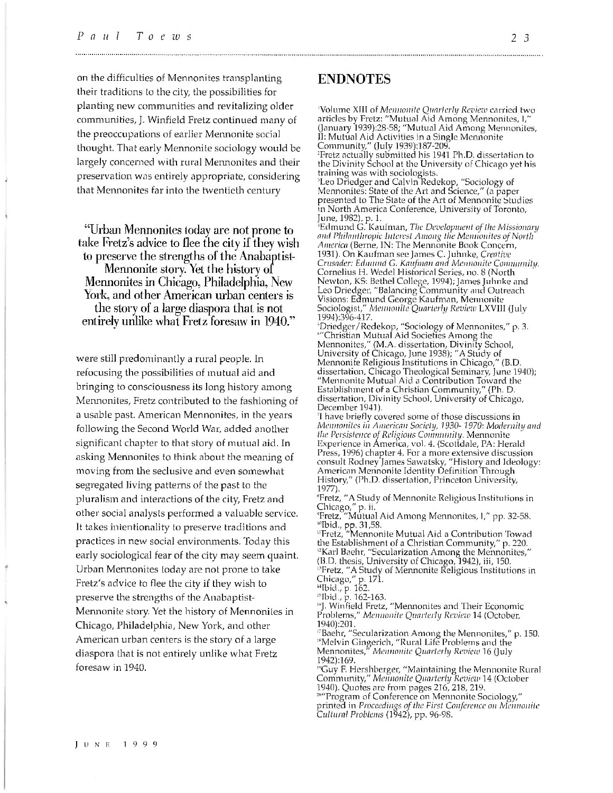on the difficulties of Mennonites transplanting their traditions to the city, the possibilities for planting new communities and revitalizing older communities, J. Winfield Fretz continued many of the preoccupations of earlier Mennonite social thought. That early Mennonite sociology would be largely concerned with rural Mennonites and their preservation was entirely appropriate, considering that Mennonites far into the twentieth century

"Urban Mennonites today are not prone to take Fretz's advice to flee the city if they wish to preserve the strengths of the Anabaptist-Mennonite story. Yet the history of Mennonites in Chicago, Philadelphia, New York, and other American urban centers is the story of a large diaspora that is not entirely unlike what Fretz foresaw in 1940."

were still predominantly a rural people. In refocusing the possibilities of mutual aid and bringing to consciousness its long history among Mennonites, Fretz contributed to the fashioning of a usable past. American Mennonites, in the years following the Second World War, added another significant chapter to that story of mutual aid. In asking Mennonites to think about the meaning of moving from the seclusive and even somewhat segregated living patterns of the past to the pluralism and interactions of the city, Fretz and other social analysts performed a valuable service. It takes intentionality to preserve traditions and practices in new social environments. Today this early sociological fear of the city may seem quaint. Urban Mennonites today are not prone to take Fretz's advice to flee the city if they wish to preserve the strengths of the Anabaptist-Mennonite story. Yet the history of Mennonites in Chicago, Philadelphia, New York, and other American urban centers is the story of a large diaspora that is not entirely unlike what Fretz foresaw in 1940.

#### ENDNOTES

'Volume XIII of *Mennonite Quarterly Review* carried two articles by Fretz: "Mutual Aid Among Mennonites, I," (January 1939):28-58; "Mutual Aid Among Mennonites, II: Mutual Aid Activities in a Single Mennonite Community," (July 1939):187-209.

:Fretz actually submitted his 1941 Ph.D. dissertation to the Divinity School at the University of Chicago yet his training was with sociologists.

"Leo Driedger and Calvin Redekop, "Sociology of Mennonites: State of the Art and Science," (a paper presented to The State of the Art of Mennonite Studies in North America Conference, University of Toronto, June, 1982), p. 1.

'Edmund G. Kaufman, *The Development of the Missionary and Philanthropic Interest Among the Mennonites of North America* (Berne, IN: The Mennonite Book Concern, 1931). On Kaufman see James C. Juhnke, *Creative Crusader: Edmund* G. *Kaufman and Mennonite Community.* Cornelius H. Wedel Historical Series, no. 8 (North Newton, KS: Bethel College, 1994); James Juhnke and Leo Driedger, "Balancing Community and Outreach Visions: Edmund George Kaufman, Mennonite Sociologist," *Mennonite Quarterly Review* LXVIII (July 1994):396-417.

"Driedger/Redekop, "Sociology of Mennonites," p. 3. ""Christian Mutual Aid Societies Among the Mennonites," (M.A. dissertation. Divinity School, University of Chicago, June 1938); "A Study of Mennonite Religious Institutions in Chicago," (B.D. dissertation, Chicago Theological Seminary, June 1940); "Mennonite Mutual Aid a Contribution Toward the Establishment of a Christian Community," (Ph. D. dissertation. Divinity School, University of Chicago, December 1941).

7I have briefly covered some of those discussions in *Mennonites in American Society, 7930- 1970: Modernity and the Persistence of Religious Community.* Mennonite Experience in America, vol. 4. (Scottdale, PA: Herald Press, 1996) chapter 4. For a more extensive discussion consult Rodney James Sawatsky, "History and Ideology: American Mennonite Identity Definition Through History," (Ph.D. dissertation, Princeton University, 1977).

"Fretz, "A Study of Mennonite Religious Institutions in Chicago," p. ii.

"Fretz, "Mutual Aid Among Mennonites, I," pp. 32-58. '"Ibid., pp. 31,58.

"Fretz, "Mennonite Mutual Aid a Contribution Towad the Establishment of a Christian Community," p. 220. <sup>12</sup>Karl Baehr, "Secularization Among the Mennonites," (B.D. thesis. University of Chicago, 1942), iii, 150. '"Fretz, "A Study of Mennonite Religious Institutions in

Chicago," p. 171.

"Ibid., p. 162.

'"Ibid., p. 162-163.

'"J. Winfield Fretz, "Mennonites and Their Economic Problems," *Mennonite Quarterly Review* 14 (October, 1940):201.

17Baehr, "Secularization Among the Mennonites," p. 150. '"Melvin Gingerich, "Rural Life Problems and the Mennonites, *Mennonite Quarterly Review* 16 (July 1942):169.

'"Guy F. Hershberger, "Maintaining the Mennonite Rural Community," *Mennonite Quarterly Review* 14 (October 1940). Quotes are from pages 216, 218, 219.

""Program of Conference on Mennonite Sociology," printed in *Proceedings of the First Conference on Mennonite Cultural Problems* (1942), pp. 96-98.